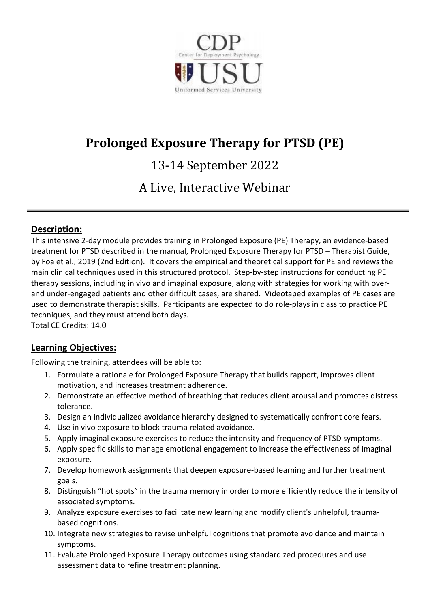

# **Prolonged Exposure Therapy for PTSD (PE)**

# 13-14 September 2022

# A Live, Interactive Webinar

# **Description:**

This intensive 2-day module provides training in Prolonged Exposure (PE) Therapy, an evidence-based treatment for PTSD described in the manual, Prolonged Exposure Therapy for PTSD – Therapist Guide, by Foa et al., 2019 (2nd Edition). It covers the empirical and theoretical support for PE and reviews the main clinical techniques used in this structured protocol. Step-by-step instructions for conducting PE therapy sessions, including in vivo and imaginal exposure, along with strategies for working with overand under-engaged patients and other difficult cases, are shared. Videotaped examples of PE cases are used to demonstrate therapist skills. Participants are expected to do role-plays in class to practice PE techniques, and they must attend both days.

Total CE Credits: 14.0

## **Learning Objectives:**

Following the training, attendees will be able to:

- 1. Formulate a rationale for Prolonged Exposure Therapy that builds rapport, improves client motivation, and increases treatment adherence.
- 2. Demonstrate an effective method of breathing that reduces client arousal and promotes distress tolerance.
- 3. Design an individualized avoidance hierarchy designed to systematically confront core fears.
- 4. Use in vivo exposure to block trauma related avoidance.
- 5. Apply imaginal exposure exercises to reduce the intensity and frequency of PTSD symptoms.
- 6. Apply specific skills to manage emotional engagement to increase the effectiveness of imaginal exposure.
- 7. Develop homework assignments that deepen exposure-based learning and further treatment goals.
- 8. Distinguish "hot spots" in the trauma memory in order to more efficiently reduce the intensity of associated symptoms.
- 9. Analyze exposure exercises to facilitate new learning and modify client's unhelpful, traumabased cognitions.
- 10. Integrate new strategies to revise unhelpful cognitions that promote avoidance and maintain symptoms.
- 11. Evaluate Prolonged Exposure Therapy outcomes using standardized procedures and use assessment data to refine treatment planning.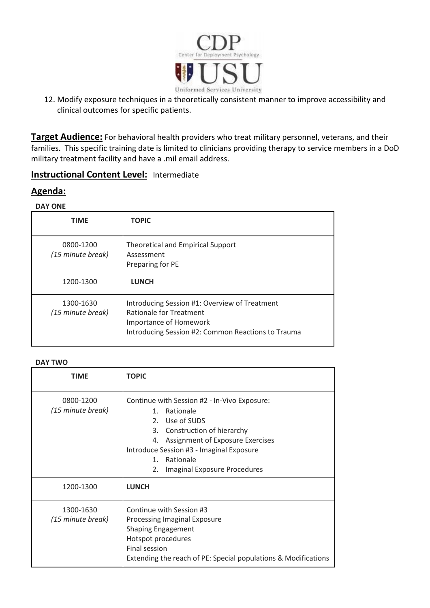

12. Modify exposure techniques in a theoretically consistent manner to improve accessibility and clinical outcomes for specific patients.

**Target Audience:** For behavioral health providers who treat military personnel, veterans, and their families. This specific training date is limited to clinicians providing therapy to service members in a DoD military treatment facility and have a .mil email address.

## **Instructional Content Level: Intermediate**

## **Agenda:**

### **DAY ONE**

| <b>TIME</b>                    | <b>TOPIC</b>                                                                                                                                             |
|--------------------------------|----------------------------------------------------------------------------------------------------------------------------------------------------------|
| 0800-1200<br>(15 minute break) | Theoretical and Empirical Support<br>Assessment<br>Preparing for PE                                                                                      |
| 1200-1300                      | <b>LUNCH</b>                                                                                                                                             |
| 1300-1630<br>(15 minute break) | Introducing Session #1: Overview of Treatment<br>Rationale for Treatment<br>Importance of Homework<br>Introducing Session #2: Common Reactions to Trauma |

#### **DAY TWO**

| <b>TIME</b>                    | <b>TOPIC</b>                                                                                                                                                                                                                                                            |
|--------------------------------|-------------------------------------------------------------------------------------------------------------------------------------------------------------------------------------------------------------------------------------------------------------------------|
| 0800-1200<br>(15 minute break) | Continue with Session #2 - In-Vivo Exposure:<br>1. Rationale<br>2. Use of SUDS<br>3. Construction of hierarchy<br>Assignment of Exposure Exercises<br>4.<br>Introduce Session #3 - Imaginal Exposure<br>Rationale<br>$\mathbf{1}$<br>Imaginal Exposure Procedures<br>2. |
| 1200-1300                      | <b>LUNCH</b>                                                                                                                                                                                                                                                            |
| 1300-1630<br>(15 minute break) | Continue with Session #3<br>Processing Imaginal Exposure<br><b>Shaping Engagement</b><br>Hotspot procedures<br>Final session<br>Extending the reach of PE: Special populations & Modifications                                                                          |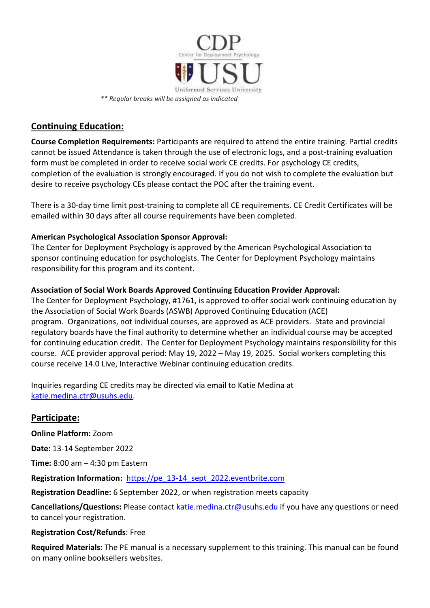

# **Continuing Education:**

**Course Completion Requirements:** Participants are required to attend the entire training. Partial credits cannot be issued Attendance is taken through the use of electronic logs, and a post-training evaluation form must be completed in order to receive social work CE credits. For psychology CE credits, completion of the evaluation is strongly encouraged. If you do not wish to complete the evaluation but desire to receive psychology CEs please contact the POC after the training event.

There is a 30-day time limit post-training to complete all CE requirements. CE Credit Certificates will be emailed within 30 days after all course requirements have been completed.

## **American Psychological Association Sponsor Approval:**

The Center for Deployment Psychology is approved by the American Psychological Association to sponsor continuing education for psychologists. The Center for Deployment Psychology maintains responsibility for this program and its content.

## **Association of Social Work Boards Approved Continuing Education Provider Approval:**

The Center for Deployment Psychology, #1761, is approved to offer social work continuing education by the Association of Social Work Boards (ASWB) Approved Continuing Education (ACE) program. Organizations, not individual courses, are approved as ACE providers. State and provincial regulatory boards have the final authority to determine whether an individual course may be accepted for continuing education credit. The Center for Deployment Psychology maintains responsibility for this course. ACE provider approval period: May 19, 2022 – May 19, 2025. Social workers completing this course receive 14.0 Live, Interactive Webinar continuing education credits.

Inquiries regarding CE credits may be directed via email to Katie Medina at [katie.medina.ctr@usuhs.edu.](mailto:katie.medina.ctr@usuhs.edu)

## **Participate:**

**Online Platform:** Zoom

**Date:** 13-14 September 2022

**Time:** 8:00 am – 4:30 pm Eastern

**Registration Information:** [https://pe\\_13-14\\_sept\\_2022.eventbrite.com](https://pe_13-14_sept_2022.eventbrite.com/) 

**Registration Deadline:** 6 September 2022, or when registration meets capacity

Cancellations/Questions: Please contact [katie.medina.ctr@usuhs.edu](mailto:katie.medina.ctr@usuhs.edu) if you have any questions or need to cancel your registration.

## **Registration Cost/Refunds**: Free

**Required Materials:** The PE manual is a necessary supplement to this training. This manual can be found on many online booksellers websites.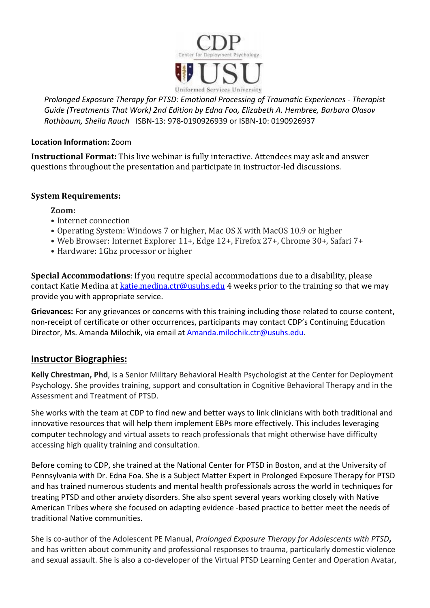

*Prolonged Exposure Therapy for PTSD: Emotional Processing of Traumatic Experiences - Therapist Guide (Treatments That Work) 2nd Edition by Edna Foa, Elizabeth A. Hembree, Barbara Olasov Rothbaum, Sheila Rauch* ISBN-13: 978-0190926939 or ISBN-10: 0190926937

### **Location Information:** Zoom

**Instructional Format:** This live webinar is fully interactive. Attendees may ask and answer questions throughout the presentation and participate in instructor-led discussions.

### **System Requirements:**

### **Zoom:**

- Internet connection
- Operating System: Windows 7 or higher, Mac OS X with MacOS 10.9 or higher
- Web Browser: Internet Explorer 11+, Edge 12+, Firefox 27+, Chrome 30+, Safari 7+
- Hardware: 1Ghz processor or higher

**Special Accommodations**: If you require special accommodations due to a disability, please contact Katie Medina at [katie.medina.ctr@usuhs.edu](mailto:katie.medina.ctr@usuhs.edu) 4 weeks prior to the training so that we may provide you with appropriate service.

**Grievances:** For any grievances or concerns with this training including those related to course content, non-receipt of certificate or other occurrences, participants may contact CDP's Continuing Education Director, Ms. Amanda Milochik, via email at [Amanda.milochik.ctr@usuhs.edu.](mailto:Amanda.milochik.ctr@usuhs.edu)

## **Instructor Biographies:**

**Kelly Chrestman, Phd**, is a Senior Military Behavioral Health Psychologist at the Center for Deployment Psychology. She provides training, support and consultation in Cognitive Behavioral Therapy and in the Assessment and Treatment of PTSD.

She works with the team at CDP to find new and better ways to link clinicians with both traditional and innovative resources that will help them implement EBPs more effectively. This includes leveraging computer technology and virtual assets to reach professionals that might otherwise have difficulty accessing high quality training and consultation.

Before coming to CDP, she trained at the National Center for PTSD in Boston, and at the University of Pennsylvania with Dr. Edna Foa. She is a Subject Matter Expert in Prolonged Exposure Therapy for PTSD and has trained numerous students and mental health professionals across the world in techniques for treating PTSD and other anxiety disorders. She also spent several years working closely with Native American Tribes where she focused on adapting evidence -based practice to better meet the needs of traditional Native communities.

She is co-author of the Adolescent PE Manual, *Prolonged Exposure Therapy for Adolescents with PTSD***,** and has written about community and professional responses to trauma, particularly domestic violence and sexual assault. She is also a co-developer of the Virtual PTSD Learning Center and Operation Avatar,